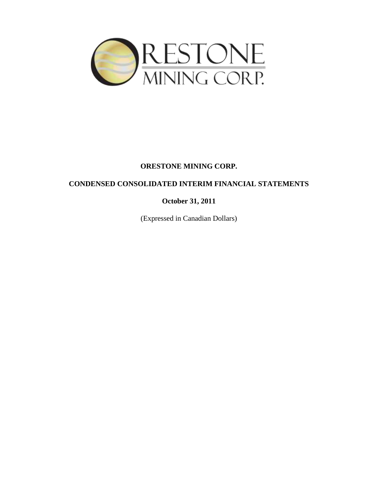

# **CONDENSED CONSOLIDATED INTERIM FINANCIAL STATEMENTS**

**October 31, 2011**

(Expressed in Canadian Dollars)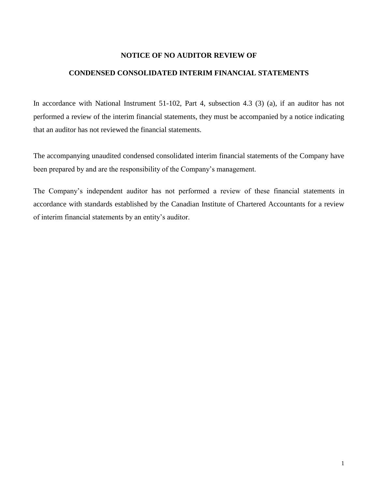# **NOTICE OF NO AUDITOR REVIEW OF**

# **CONDENSED CONSOLIDATED INTERIM FINANCIAL STATEMENTS**

In accordance with National Instrument 51-102, Part 4, subsection 4.3 (3) (a), if an auditor has not performed a review of the interim financial statements, they must be accompanied by a notice indicating that an auditor has not reviewed the financial statements.

The accompanying unaudited condensed consolidated interim financial statements of the Company have been prepared by and are the responsibility of the Company's management.

The Company's independent auditor has not performed a review of these financial statements in accordance with standards established by the Canadian Institute of Chartered Accountants for a review of interim financial statements by an entity's auditor.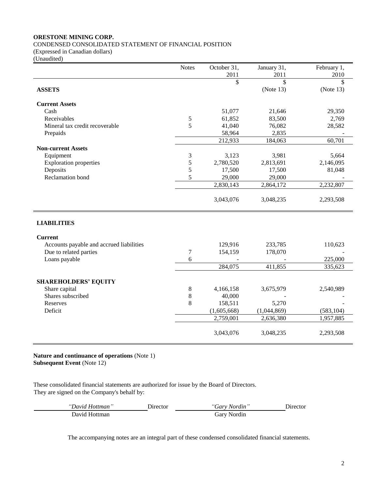CONDENSED CONSOLIDATED STATEMENT OF FINANCIAL POSITION

(Expressed in Canadian dollars)

(Unaudited)

|                                          | <b>Notes</b> | October 31, | January 31, | February 1,   |
|------------------------------------------|--------------|-------------|-------------|---------------|
|                                          |              | 2011        | 2011        | 2010          |
|                                          |              | \$          | \$          | $\mathcal{S}$ |
| <b>ASSETS</b>                            |              |             | (Note 13)   | (Note 13)     |
| <b>Current Assets</b>                    |              |             |             |               |
| Cash                                     |              | 51,077      | 21,646      | 29,350        |
| Receivables                              | 5            | 61,852      | 83,500      | 2,769         |
| Mineral tax credit recoverable           | 5            | 41,040      | 76,082      | 28,582        |
| Prepaids                                 |              | 58,964      | 2,835       |               |
|                                          |              | 212,933     | 184,063     | 60,701        |
| <b>Non-current Assets</b>                |              |             |             |               |
| Equipment                                | 3            | 3,123       | 3,981       | 5,664         |
| <b>Exploration properties</b>            | 5            | 2,780,520   | 2,813,691   | 2,146,095     |
| Deposits                                 | 5            | 17,500      | 17,500      | 81,048        |
| <b>Reclamation</b> bond                  | 5            | 29,000      | 29,000      |               |
|                                          |              | 2,830,143   | 2,864,172   | 2,232,807     |
|                                          |              | 3,043,076   | 3,048,235   | 2,293,508     |
| <b>LIABILITIES</b>                       |              |             |             |               |
| <b>Current</b>                           |              |             |             |               |
| Accounts payable and accrued liabilities |              | 129,916     | 233,785     | 110,623       |
| Due to related parties                   | $\tau$       | 154,159     | 178,070     |               |
| Loans payable                            | 6            |             |             | 225,000       |
|                                          |              | 284,075     | 411,855     | 335,623       |
|                                          |              |             |             |               |
| <b>SHAREHOLDERS' EQUITY</b>              |              |             |             |               |
| Share capital                            | $\,8\,$      | 4,166,158   | 3,675,979   | 2,540,989     |
| Shares subscribed                        | 8            | 40,000      |             |               |
| Reserves                                 | 8            | 158,511     | 5,270       |               |
| Deficit                                  |              | (1,605,668) | (1,044,869) | (583, 104)    |
|                                          |              | 2,759,001   | 2,636,380   | 1,957,885     |
|                                          |              | 3,043,076   | 3,048,235   | 2,293,508     |

**Nature and continuance of operations** (Note 1) **Subsequent Event** (Note 12)

These consolidated financial statements are authorized for issue by the Board of Directors. They are signed on the Company's behalf by:

| <i>"David Hottman</i> | <b>Director</b> | "Garv Nordin" | <b>Director</b> |
|-----------------------|-----------------|---------------|-----------------|
| David Hottman         |                 | Gary Nordin   |                 |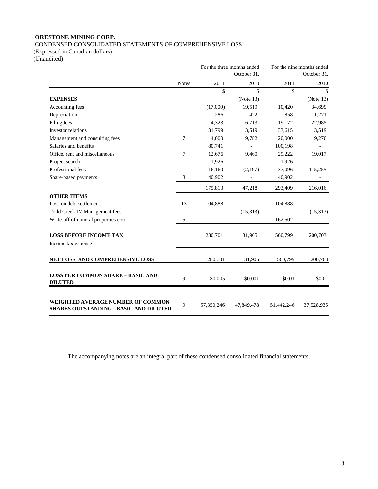CONDENSED CONSOLIDATED STATEMENTS OF COMPREHENSIVE LOSS

(Expressed in Canadian dollars)

(Unaudited)

|                                                                                           |              |            | For the three months ended<br>October 31, |            | For the nine months ended<br>October 31, |
|-------------------------------------------------------------------------------------------|--------------|------------|-------------------------------------------|------------|------------------------------------------|
|                                                                                           | <b>Notes</b> | 2011       | 2010                                      | 2011       | 2010                                     |
|                                                                                           |              | \$         | \$                                        | \$         | \$                                       |
| <b>EXPENSES</b>                                                                           |              |            | (Note 13)                                 |            | (Note 13)                                |
| Accounting fees                                                                           |              | (17,000)   | 19,519                                    | 10,420     | 34,699                                   |
| Depreciation                                                                              |              | 286        | 422                                       | 858        | 1,271                                    |
| Filing fees                                                                               |              | 4,323      | 6,713                                     | 19,172     | 22,985                                   |
| Investor relations                                                                        |              | 31,799     | 3,519                                     | 33,615     | 3,519                                    |
| Management and consulting fees                                                            | 7            | 4,000      | 9,782                                     | 20,000     | 19,270                                   |
| Salaries and benefits                                                                     |              | 80,741     | $\overline{a}$                            | 100,198    |                                          |
| Office, rent and miscellaneous                                                            | 7            | 12,676     | 9,460                                     | 29,222     | 19,017                                   |
| Project search                                                                            |              | 1,926      |                                           | 1,926      |                                          |
| Professional fees                                                                         |              | 16,160     | (2,197)                                   | 37,096     | 115,255                                  |
| Share-based payments                                                                      | 8            | 40,902     |                                           | 40,902     |                                          |
|                                                                                           |              | 175,813    | 47,218                                    | 293,409    | 216,016                                  |
| <b>OTHER ITEMS</b>                                                                        |              |            |                                           |            |                                          |
| Loss on debt settlement                                                                   | 13           | 104,888    |                                           | 104,888    |                                          |
| Todd Creek JV Management fees                                                             |              |            | (15,313)                                  |            | (15,313)                                 |
| Write-off of mineral properties cost                                                      | 5            |            |                                           | 162,502    |                                          |
| <b>LOSS BEFORE INCOME TAX</b>                                                             |              | 280,701    | 31,905                                    | 560,799    | 200,703                                  |
| Income tax expense                                                                        |              |            |                                           |            |                                          |
| NET LOSS AND COMPREHENSIVE LOSS                                                           |              | 280,701    | 31,905                                    | 560,799    | 200,703                                  |
| <b>LOSS PER COMMON SHARE - BASIC AND</b><br><b>DILUTED</b>                                | 9            | \$0.005    | \$0.001                                   | \$0.01     | \$0.01                                   |
| <b>WEIGHTED AVERAGE NUMBER OF COMMON</b><br><b>SHARES OUTSTANDING - BASIC AND DILUTED</b> | 9            | 57,350,246 | 47,849,478                                | 51,442,246 | 37,528,935                               |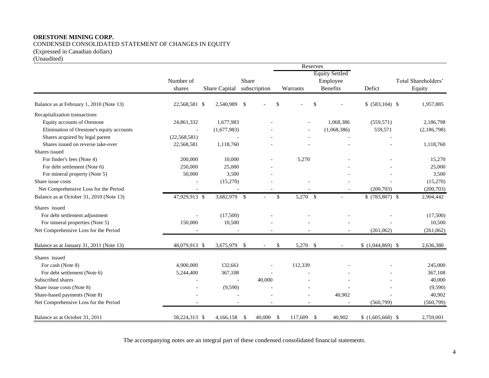CONDENSED CONSOLIDATED STATEMENT OF CHANGES IN EQUITY

(Expressed in Canadian dollars)

(Unaudited)

|                                           |                |               |               |     | Reserves   |                       |                    |                     |
|-------------------------------------------|----------------|---------------|---------------|-----|------------|-----------------------|--------------------|---------------------|
|                                           |                |               |               |     |            | <b>Equity Settled</b> |                    |                     |
|                                           | Number of      |               | Share         |     |            | Employee              |                    | Total Shareholders' |
|                                           | shares         | Share Capital | subscription  |     | Warrants   | <b>Benefits</b>       | Defict             | Equity              |
| Balance as at February 1, 2010 (Note 13)  | 22,568,581 \$  | 2,540,989     | \$            | \$  | \$         |                       | \$ (583,104) \$    | 1,957,885           |
| Recapitalization transactions             |                |               |               |     |            |                       |                    |                     |
| Equity accounts of Orestone               | 24,861,332     | 1,677,983     |               |     |            | 1,068,386             | (559, 571)         | 2,186,798           |
| Elimination of Orestone's equity accounts | $\sim$         | (1,677,983)   |               |     |            | (1,068,386)           | 559,571            | (2,186,798)         |
| Shares acquired by legal parent           | (22, 568, 581) |               |               |     |            |                       |                    |                     |
| Shares issued on reverse take-over        | 22,568,581     | 1,118,760     |               |     |            |                       |                    | 1,118,760           |
| Shares issued                             |                |               |               |     |            |                       |                    |                     |
| For finder's fees (Note 4)                | 200,000        | 10,000        |               |     | 5,270      |                       |                    | 15,270              |
| For debt settlement (Note 6)              | 250,000        | 25,000        |               |     |            |                       |                    | 25,000              |
| For mineral property (Note 5)             | 50,000         | 3,500         |               |     |            |                       |                    | 3,500               |
| Share issue costs                         |                | (15,270)      |               |     |            |                       |                    | (15,270)            |
| Net Comprehensive Loss for the Period     |                |               |               |     |            |                       | (200, 703)         | (200, 703)          |
| Balance as at October 31, 2010 (Note 13)  | 47,929,913 \$  | 3,682,979 \$  |               | \$  | 5,270 \$   |                       | $$$ (783,807) \,\$ | 2,904,442           |
| Shares issued                             |                |               |               |     |            |                       |                    |                     |
| For debt settlement adjustment            |                | (17,500)      |               |     |            |                       |                    | (17,500)            |
| For mineral properties (Note 5)           | 150,000        | 10,500        |               |     |            |                       |                    | 10,500              |
| Net Comprehensive Loss for the Period     |                |               |               |     |            |                       | (261,062)          | (261,062)           |
| Balance as at January 31, 2011 (Note 13)  | 48,079,913 \$  | 3,675,979     | -\$           | \$  | 5,270 \$   |                       | $$(1,044,869)$ \;  | 2,636,380           |
| Shares issued                             |                |               |               |     |            |                       |                    |                     |
| For cash (Note 8)                         | 4,900,000      | 132,661       |               |     | 112,339    |                       |                    | 245,000             |
| For debt settlement (Note 6)              | 5,244,400      | 367,108       |               |     |            |                       |                    | 367,108             |
| Subscribed shares                         |                | $\sim$        | 40,000        |     |            |                       |                    | 40,000              |
| Share issue costs (Note 8)                |                | (9,590)       |               |     |            |                       |                    | (9,590)             |
| Share-based payments (Note 8)             |                |               |               |     |            | 40,902                |                    | 40,902              |
| Net Comprehensive Loss for the Period     |                |               |               |     |            |                       | (560,799)          | (560, 799)          |
| Balance as at October 31, 2011            | 58,224,313 \$  | 4,166,158     | -\$<br>40,000 | -\$ | 117,609 \$ | 40,902                | $$(1,605,668)$ \;  | 2,759,001           |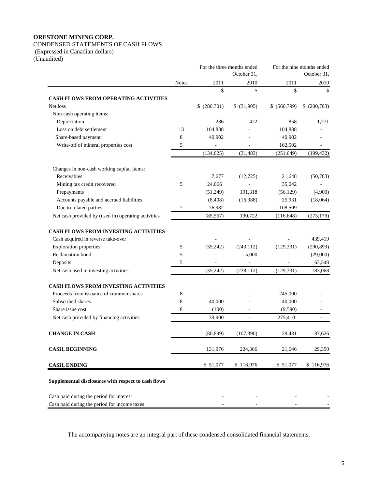# CONDENSED STATEMENTS OF CASH FLOWS

(Expressed in Canadian dollars)

(Unaudited)

|                                                     | For the three months ended<br>October 31, |              |             | For the nine months ended<br>October 31, |                          |
|-----------------------------------------------------|-------------------------------------------|--------------|-------------|------------------------------------------|--------------------------|
|                                                     | <b>Notes</b>                              | 2011         | 2010        | 2011                                     | 2010                     |
|                                                     |                                           | \$           | \$          | \$                                       | \$                       |
| <b>CASH FLOWS FROM OPERATING ACTIVITIES</b>         |                                           |              |             |                                          |                          |
| Net loss                                            |                                           | \$ (280,701) | \$ (31,905) | \$ (560,799)                             | \$ (200,703)             |
| Non-cash operating items:                           |                                           |              |             |                                          |                          |
| Depreciation                                        |                                           | 286          | 422         | 858                                      | 1,271                    |
| Loss on debt settlement                             | 13                                        | 104,888      |             | 104,888                                  |                          |
| Share-based payment                                 | 8                                         | 40,902       |             | 40,902                                   |                          |
| Write-off of mineral properties cost                | 5                                         |              |             | 162,502                                  | $\overline{\phantom{a}}$ |
|                                                     |                                           | (134, 625)   | (31, 483)   | (251, 649)                               | (199, 432)               |
| Changes in non-cash working capital items:          |                                           |              |             |                                          |                          |
| Receivables                                         |                                           | 7,677        | (12, 725)   | 21,648                                   | (50, 783)                |
| Mining tax credit recovered                         | 5                                         | 24,066       |             | 35,042                                   |                          |
| Prepayments                                         |                                           | (51,249)     | 191,318     | (56, 129)                                | (4,900)                  |
| Accounts payable and accrued liabilities            |                                           | (8, 408)     | (16,388)    | 25,931                                   | (18,064)                 |
| Due to related parties                              | 7                                         | 76,982       |             | 108,509                                  |                          |
| Net cash provided by (used in) operating activities |                                           | (85, 557)    | 130,722     | (116, 648)                               | (273, 179)               |
| <b>CASH FLOWS FROM INVESTING ACTIVITIES</b>         |                                           |              |             |                                          |                          |
| Cash acquired in reverse take-over                  |                                           |              |             |                                          | 439,419                  |
| <b>Exploration properties</b>                       | 5                                         | (35, 242)    | (243, 112)  | (129, 331)                               | (290, 899)               |
| <b>Reclamation</b> bond                             | 5                                         |              | 5,000       |                                          | (29,000)                 |
| Deposits                                            | 5                                         |              |             |                                          | 63,548                   |
| Net cash used in investing activities               |                                           | (35, 242)    | (238, 112)  | (129, 331)                               | 183,068                  |
| <b>CASH FLOWS FROM INVESTING ACTIVITIES</b>         |                                           |              |             |                                          |                          |
| Proceeds from issuance of common shares             | 8                                         |              |             | 245,000                                  |                          |
| Subscribed shares                                   | 8                                         | 40,000       |             | 40,000                                   |                          |
| Share issue cost                                    | 8                                         | (100)        |             | (9,590)                                  |                          |
| Net cash provided by financing activities           |                                           | 39,900       |             | 275,410                                  |                          |
| <b>CHANGE IN CASH</b>                               |                                           | (80, 899)    | (107, 390)  | 29,431                                   | 87,626                   |
| <b>CASH, BEGINNING</b>                              |                                           | 131,976      | 224,366     | 21,646                                   | 29,350                   |
| <b>CASH, ENDING</b>                                 |                                           | \$51,077     | \$116,976   | \$51,077                                 | \$116,976                |
| Supplemental disclosures with respect to cash flows |                                           |              |             |                                          |                          |
| Cash paid during the period for interest            |                                           |              |             |                                          |                          |
| Cash paid during the period for income taxes        |                                           |              |             |                                          |                          |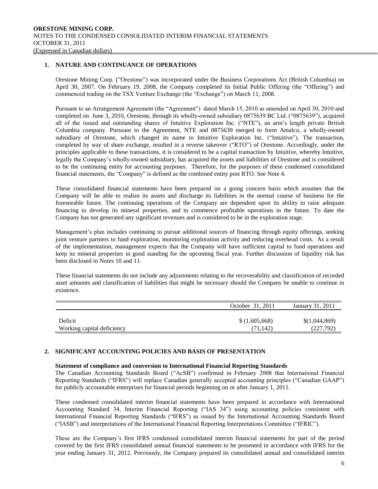# **1. NATURE AND CONTINUANCE OF OPERATIONS**

Orestone Mining Corp. ("Orestone") was incorporated under the Business Corporations Act (British Columbia) on April 30, 2007. On February 19, 2008, the Company completed its Initial Public Offering (the "Offering") and commenced trading on the TSX Venture Exchange (the "Exchange") on March 11, 2008.

Pursuant to an Arrangement Agreement (the "Agreement") dated March 15, 2010 as amended on April 30, 2010 and completed on June 3, 2010, Orestone, through its wholly-owned subsidiary 0875639 BC Ltd. ("0875639"), acquired all of the issued and outstanding shares of Intuitive Exploration Inc. ("NTE"), an arm's length private British Columbia company. Pursuant to the Agreement, NTE and 0875639 merged to form Amalco, a wholly-owned subsidiary of Orestone, which changed its name to Intuitive Exploration Inc. ("Intuitive"). The transaction, completed by way of share exchange, resulted in a reverse takeover ("RTO") of Orestone. Accordingly, under the principles applicable to these transactions, it is considered to be a capital transaction by Intuitive, whereby Intuitive, legally the Company's wholly-owned subsidiary, has acquired the assets and liabilities of Orestone and is considered to be the continuing entity for accounting purposes. Therefore, for the purposes of these condensed consolidated financial statements, the "Company" is defined as the combined entity post RTO. See Note 4.

These consolidated financial statements have been prepared on a going concern basis which assumes that the Company will be able to realize its assets and discharge its liabilities in the normal course of business for the foreseeable future. The continuing operations of the Company are dependent upon its ability to raise adequate financing to develop its mineral properties, and to commence profitable operations in the future. To date the Company has not generated any significant revenues and is considered to be in the exploration stage.

Management's plan includes continuing to pursue additional sources of financing through equity offerings, seeking joint venture partners to fund exploration, monitoring exploration activity and reducing overhead costs. As a result of the implementation, management expects that the Company will have sufficient capital to fund operations and keep its mineral properties in good standing for the upcoming fiscal year. Further discussion of liquidity risk has been disclosed in Notes 10 and 11.

These financial statements do not include any adjustments relating to the recoverability and classification of recorded asset amounts and classification of liabilities that might be necessary should the Company be unable to continue in existence.

|                            | October 31, 2011 | January 31, 2011 |
|----------------------------|------------------|------------------|
| Deficit                    | \$(1,605,668)    | \$(1,044,869)    |
| Working capital deficiency | (71.142)         | (227,792)        |

# **2. SIGNIFICANT ACCOUNTING POLICIES AND BASIS OF PRESENTATION**

#### **Statement of compliance and conversion to International Financial Reporting Standards**

The Canadian Accounting Standards Board ("AcSB") confirmed in February 2008 that International Financial Reporting Standards ("IFRS") will replace Canadian generally accepted accounting principles ("Canadian GAAP") for publicly accountable enterprises for financial periods beginning on or after January 1, 2011.

These condensed consolidated interim financial statements have been prepared in accordance with International Accounting Standard 34, Interim Financial Reporting ("IAS 34") using accounting policies consistent with International Financial Reporting Standards ("IFRS") as issued by the International Accounting Standards Board ("IASB") and interpretations of the International Financial Reporting Interpretations Committee ("IFRIC").

These are the Company's first IFRS condensed consolidated interim financial statements for part of the period covered by the first IFRS consolidated annual financial statements to be presented in accordance with IFRS for the year ending January 31, 2012. Previously, the Company prepared its consolidated annual and consolidated interim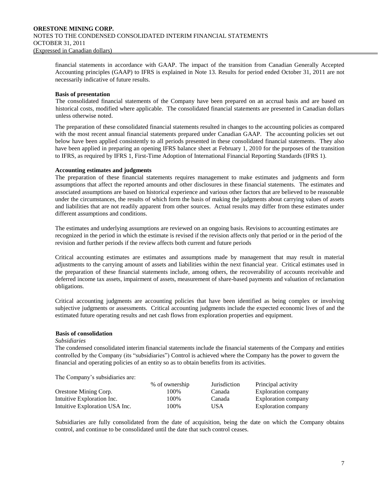financial statements in accordance with GAAP. The impact of the transition from Canadian Generally Accepted Accounting principles (GAAP) to IFRS is explained in Note 13. Results for period ended October 31, 2011 are not necessarily indicative of future results.

# **Basis of presentation**

The consolidated financial statements of the Company have been prepared on an accrual basis and are based on historical costs, modified where applicable. The consolidated financial statements are presented in Canadian dollars unless otherwise noted.

The preparation of these consolidated financial statements resulted in changes to the accounting policies as compared with the most recent annual financial statements prepared under Canadian GAAP. The accounting policies set out below have been applied consistently to all periods presented in these consolidated financial statements. They also have been applied in preparing an opening IFRS balance sheet at February 1, 2010 for the purposes of the transition to IFRS, as required by IFRS 1, First-Time Adoption of International Financial Reporting Standards (IFRS 1).

# **Accounting estimates and judgments**

The preparation of these financial statements requires management to make estimates and judgments and form assumptions that affect the reported amounts and other disclosures in these financial statements. The estimates and associated assumptions are based on historical experience and various other factors that are believed to be reasonable under the circumstances, the results of which form the basis of making the judgments about carrying values of assets and liabilities that are not readily apparent from other sources. Actual results may differ from these estimates under different assumptions and conditions.

The estimates and underlying assumptions are reviewed on an ongoing basis. Revisions to accounting estimates are recognized in the period in which the estimate is revised if the revision affects only that period or in the period of the revision and further periods if the review affects both current and future periods

Critical accounting estimates are estimates and assumptions made by management that may result in material adjustments to the carrying amount of assets and liabilities within the next financial year. Critical estimates used in the preparation of these financial statements include, among others, the recoverability of accounts receivable and deferred income tax assets, impairment of assets, measurement of share-based payments and valuation of reclamation obligations.

Critical accounting judgments are accounting policies that have been identified as being complex or involving subjective judgments or assessments. Critical accounting judgments include the expected economic lives of and the estimated future operating results and net cash flows from exploration properties and equipment.

# **Basis of consolidation**

#### *Subsidiaries*

The condensed consolidated interim financial statements include the financial statements of the Company and entities controlled by the Company (its "subsidiaries") Control is achieved where the Company has the power to govern the financial and operating policies of an entity so as to obtain benefits from its activities.

The Company's subsidiaries are:

|                                | % of ownership | Jurisdiction | Principal activity         |
|--------------------------------|----------------|--------------|----------------------------|
| Orestone Mining Corp.          | 100%           | Canada       | <b>Exploration company</b> |
| Intuitive Exploration Inc.     | 100%           | Canada       | <b>Exploration company</b> |
| Intuitive Exploration USA Inc. | 100%           | USA          | Exploration company        |

Subsidiaries are fully consolidated from the date of acquisition, being the date on which the Company obtains control, and continue to be consolidated until the date that such control ceases.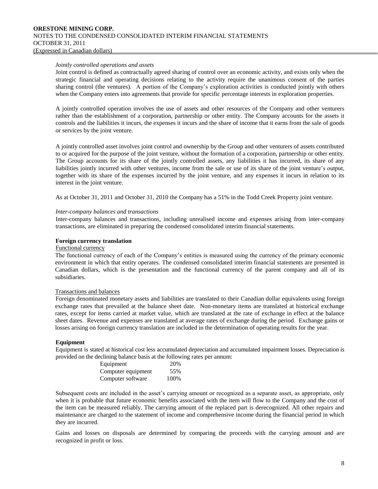#### *Jointly controlled operations and assets*

Joint control is defined as contractually agreed sharing of control over an economic activity, and exists only when the strategic financial and operating decisions relating to the activity require the unanimous consent of the parties sharing control (the ventures). A portion of the Company's exploration activities is conducted jointly with others when the Company enters into agreements that provide for specific percentage interests in exploration properties.

A jointly controlled operation involves the use of assets and other resources of the Company and other venturers rather than the establishment of a corporation, partnership or other entity. The Company accounts for the assets it controls and the liabilities it incurs, the expenses it incurs and the share of income that it earns from the sale of goods or services by the joint venture.

A jointly controlled asset involves joint control and ownership by the Group and other venturers of assets contributed to or acquired for the purpose of the joint venture, without the formation of a corporation, partnership or other entity. The Group accounts for its share of the jointly controlled assets, any liabilities it has incurred, its share of any liabilities jointly incurred with other ventures, income from the sale or use of its share of the joint venture's output, together with its share of the expenses incurred by the joint venture, and any expenses it incurs in relation to its interest in the joint venture.

As at October 31, 2011 and October 31, 2010 the Company has a 51% in the Todd Creek Property joint venture.

#### *Inter-company balances and transactions*

Inter-company balances and transactions, including unrealised income and expenses arising from inter-company transactions, are eliminated in preparing the condensed consolidated interim financial statements.

#### **Foreign currency translation**

#### Functional currency

The functional currency of each of the Company's entities is measured using the currency of the primary economic environment in which that entity operates. The condensed consolidated interim financial statements are presented in Canadian dollars, which is the presentation and the functional currency of the parent company and all of its subsidiaries.

#### Transactions and balances

Foreign denominated monetary assets and liabilities are translated to their Canadian dollar equivalents using foreign exchange rates that prevailed at the balance sheet date. Non-monetary items are translated at historical exchange rates, except for items carried at market value, which are translated at the rate of exchange in effect at the balance sheet dates. Revenue and expenses are translated at average rates of exchange during the period. Exchange gains or losses arising on foreign currency translation are included in the determination of operating results for the year.

#### **Equipment**

Equipment is stated at historical cost less accumulated depreciation and accumulated impairment losses. Depreciation is provided on the declining balance basis at the following rates per annum:

| Equipment          | 20%  |
|--------------------|------|
| Computer equipment | 55%  |
| Computer software  | 100% |

Subsequent costs are included in the asset's carrying amount or recognized as a separate asset, as appropriate, only when it is probable that future economic benefits associated with the item will flow to the Company and the cost of the item can be measured reliably. The carrying amount of the replaced part is derecognized. All other repairs and maintenance are charged to the statement of income and comprehensive income during the financial period in which they are incurred.

Gains and losses on disposals are determined by comparing the proceeds with the carrying amount and are recognized in profit or loss.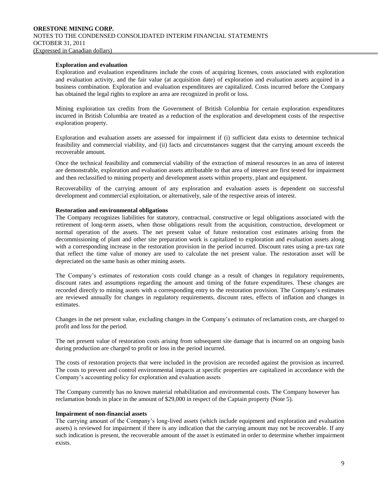#### **Exploration and evaluation**

Exploration and evaluation expenditures include the costs of acquiring licenses, costs associated with exploration and evaluation activity, and the fair value (at acquisition date) of exploration and evaluation assets acquired in a business combination. Exploration and evaluation expenditures are capitalized. Costs incurred before the Company has obtained the legal rights to explore an area are recognized in profit or loss.

Mining exploration tax credits from the Government of British Columbia for certain exploration expenditures incurred in British Columbia are treated as a reduction of the exploration and development costs of the respective exploration property.

Exploration and evaluation assets are assessed for impairment if (i) sufficient data exists to determine technical feasibility and commercial viability, and (ii) facts and circumstances suggest that the carrying amount exceeds the recoverable amount.

Once the technical feasibility and commercial viability of the extraction of mineral resources in an area of interest are demonstrable, exploration and evaluation assets attributable to that area of interest are first tested for impairment and then reclassified to mining property and development assets within property, plant and equipment.

Recoverability of the carrying amount of any exploration and evaluation assets is dependent on successful development and commercial exploitation, or alternatively, sale of the respective areas of interest.

#### **Restoration and environmental obligations**

The Company recognizes liabilities for statutory, contractual, constructive or legal obligations associated with the retirement of long-term assets, when those obligations result from the acquisition, construction, development or normal operation of the assets. The net present value of future restoration cost estimates arising from the decommissioning of plant and other site preparation work is capitalized to exploration and evaluation assets along with a corresponding increase in the restoration provision in the period incurred. Discount rates using a pre-tax rate that reflect the time value of money are used to calculate the net present value. The restoration asset will be depreciated on the same basis as other mining assets.

The Company's estimates of restoration costs could change as a result of changes in regulatory requirements, discount rates and assumptions regarding the amount and timing of the future expenditures. These changes are recorded directly to mining assets with a corresponding entry to the restoration provision. The Company's estimates are reviewed annually for changes in regulatory requirements, discount rates, effects of inflation and changes in estimates.

Changes in the net present value, excluding changes in the Company's estimates of reclamation costs, are charged to profit and loss for the period.

The net present value of restoration costs arising from subsequent site damage that is incurred on an ongoing basis during production are charged to profit or loss in the period incurred.

The costs of restoration projects that were included in the provision are recorded against the provision as incurred. The costs to prevent and control environmental impacts at specific properties are capitalized in accordance with the Company's accounting policy for exploration and evaluation assets

The Company currently has no known material rehabilitation and environmental costs. The Company however has reclamation bonds in place in the amount of \$29,000 in respect of the Captain property (Note 5).

#### **Impairment of non-financial assets**

The carrying amount of the Company's long-lived assets (which include equipment and exploration and evaluation assets) is reviewed for impairment if there is any indication that the carrying amount may not be recoverable. If any such indication is present, the recoverable amount of the asset is estimated in order to determine whether impairment exists.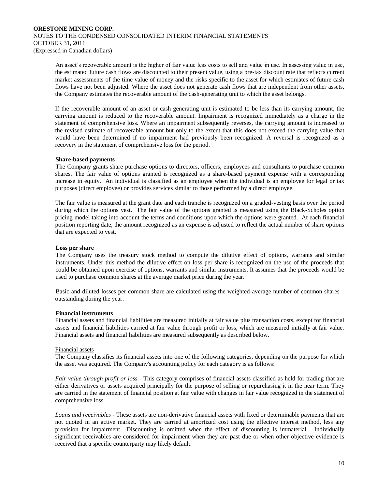An asset's recoverable amount is the higher of fair value less costs to sell and value in use. In assessing value in use, the estimated future cash flows are discounted to their present value, using a pre-tax discount rate that reflects current market assessments of the time value of money and the risks specific to the asset for which estimates of future cash flows have not been adjusted. Where the asset does not generate cash flows that are independent from other assets, the Company estimates the recoverable amount of the cash-generating unit to which the asset belongs.

If the recoverable amount of an asset or cash generating unit is estimated to be less than its carrying amount, the carrying amount is reduced to the recoverable amount. Impairment is recognized immediately as a charge in the statement of comprehensive loss. Where an impairment subsequently reverses, the carrying amount is increased to the revised estimate of recoverable amount but only to the extent that this does not exceed the carrying value that would have been determined if no impairment had previously been recognized. A reversal is recognized as a recovery in the statement of comprehensive loss for the period.

# **Share-based payments**

The Company grants share purchase options to directors, officers, employees and consultants to purchase common shares. The fair value of options granted is recognized as a share-based payment expense with a corresponding increase in equity. An individual is classified as an employee when the individual is an employee for legal or tax purposes (direct employee) or provides services similar to those performed by a direct employee.

The fair value is measured at the grant date and each tranche is recognized on a graded-vesting basis over the period during which the options vest. The fair value of the options granted is measured using the Black-Scholes option pricing model taking into account the terms and conditions upon which the options were granted. At each financial position reporting date, the amount recognized as an expense is adjusted to reflect the actual number of share options that are expected to vest.

# **Loss per share**

The Company uses the treasury stock method to compute the dilutive effect of options, warrants and similar instruments. Under this method the dilutive effect on loss per share is recognized on the use of the proceeds that could be obtained upon exercise of options, warrants and similar instruments. It assumes that the proceeds would be used to purchase common shares at the average market price during the year.

Basic and diluted losses per common share are calculated using the weighted-average number of common shares outstanding during the year.

#### **Financial instruments**

Financial assets and financial liabilities are measured initially at fair value plus transaction costs, except for financial assets and financial liabilities carried at fair value through profit or loss, which are measured initially at fair value. Financial assets and financial liabilities are measured subsequently as described below.

#### Financial assets

The Company classifies its financial assets into one of the following categories, depending on the purpose for which the asset was acquired. The Company's accounting policy for each category is as follows:

*Fair value through profit or loss* - This category comprises of financial assets classified as held for trading that are either derivatives or assets acquired principally for the purpose of selling or repurchasing it in the near term. They are carried in the statement of financial position at fair value with changes in fair value recognized in the statement of comprehensive loss.

*Loans and receivables* - These assets are non-derivative financial assets with fixed or determinable payments that are not quoted in an active market. They are carried at amortized cost using the effective interest method, less any provision for impairment. Discounting is omitted when the effect of discounting is immaterial. Individually significant receivables are considered for impairment when they are past due or when other objective evidence is received that a specific counterparty may likely default.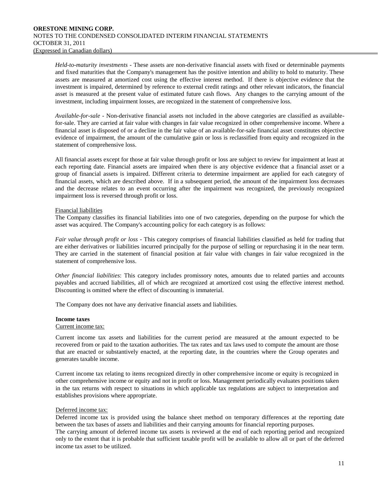*Held-to-maturity investments* - These assets are non-derivative financial assets with fixed or determinable payments and fixed maturities that the Company's management has the positive intention and ability to hold to maturity. These assets are measured at amortized cost using the effective interest method. If there is objective evidence that the investment is impaired, determined by reference to external credit ratings and other relevant indicators, the financial asset is measured at the present value of estimated future cash flows. Any changes to the carrying amount of the investment, including impairment losses, are recognized in the statement of comprehensive loss.

*Available-for-sale* - Non-derivative financial assets not included in the above categories are classified as availablefor-sale. They are carried at fair value with changes in fair value recognized in other comprehensive income. Where a financial asset is disposed of or a decline in the fair value of an available-for-sale financial asset constitutes objective evidence of impairment, the amount of the cumulative gain or loss is reclassified from equity and recognized in the statement of comprehensive loss.

All financial assets except for those at fair value through profit or loss are subject to review for impairment at least at each reporting date. Financial assets are impaired when there is any objective evidence that a financial asset or a group of financial assets is impaired. Different criteria to determine impairment are applied for each category of financial assets, which are described above. If in a subsequent period, the amount of the impairment loss decreases and the decrease relates to an event occurring after the impairment was recognized, the previously recognized impairment loss is reversed through profit or loss.

# Financial liabilities

The Company classifies its financial liabilities into one of two categories, depending on the purpose for which the asset was acquired. The Company's accounting policy for each category is as follows:

*Fair value through profit or loss* - This category comprises of financial liabilities classified as held for trading that are either derivatives or liabilities incurred principally for the purpose of selling or repurchasing it in the near term. They are carried in the statement of financial position at fair value with changes in fair value recognized in the statement of comprehensive loss.

*Other financial liabilities*: This category includes promissory notes, amounts due to related parties and accounts payables and accrued liabilities, all of which are recognized at amortized cost using the effective interest method. Discounting is omitted where the effect of discounting is immaterial.

The Company does not have any derivative financial assets and liabilities.

#### **Income taxes**

#### Current income tax:

Current income tax assets and liabilities for the current period are measured at the amount expected to be recovered from or paid to the taxation authorities. The tax rates and tax laws used to compute the amount are those that are enacted or substantively enacted, at the reporting date, in the countries where the Group operates and generates taxable income.

Current income tax relating to items recognized directly in other comprehensive income or equity is recognized in other comprehensive income or equity and not in profit or loss. Management periodically evaluates positions taken in the tax returns with respect to situations in which applicable tax regulations are subject to interpretation and establishes provisions where appropriate.

#### Deferred income tax:

Deferred income tax is provided using the balance sheet method on temporary differences at the reporting date between the tax bases of assets and liabilities and their carrying amounts for financial reporting purposes.

The carrying amount of deferred income tax assets is reviewed at the end of each reporting period and recognized only to the extent that it is probable that sufficient taxable profit will be available to allow all or part of the deferred income tax asset to be utilized.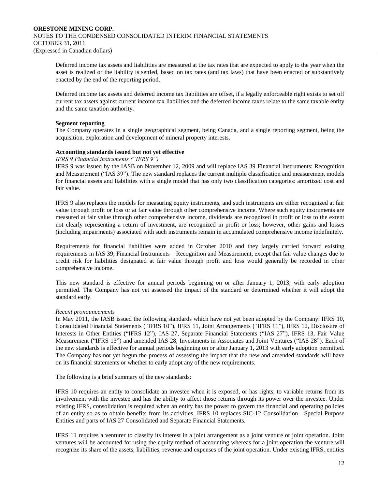Deferred income tax assets and liabilities are measured at the tax rates that are expected to apply to the year when the asset is realized or the liability is settled, based on tax rates (and tax laws) that have been enacted or substantively enacted by the end of the reporting period.

Deferred income tax assets and deferred income tax liabilities are offset, if a legally enforceable right exists to set off current tax assets against current income tax liabilities and the deferred income taxes relate to the same taxable entity and the same taxation authority.

# **Segment reporting**

The Company operates in a single geographical segment, being Canada, and a single reporting segment, being the acquisition, exploration and development of mineral property interests.

# **Accounting standards issued but not yet effective**

#### *IFRS 9 Financial instruments ("IFRS 9")*

IFRS 9 was issued by the IASB on November 12, 2009 and will replace IAS 39 Financial Instruments: Recognition and Measurement ("IAS 39"). The new standard replaces the current multiple classification and measurement models for financial assets and liabilities with a single model that has only two classification categories: amortized cost and fair value.

IFRS 9 also replaces the models for measuring equity instruments, and such instruments are either recognized at fair value through profit or loss or at fair value through other comprehensive income. Where such equity instruments are measured at fair value through other comprehensive income, dividends are recognized in profit or loss to the extent not clearly representing a return of investment, are recognized in profit or loss; however, other gains and losses (including impairments) associated with such instruments remain in accumulated comprehensive income indefinitely.

Requirements for financial liabilities were added in October 2010 and they largely carried forward existing requirements in IAS 39, Financial Instruments – Recognition and Measurement, except that fair value changes due to credit risk for liabilities designated at fair value through profit and loss would generally be recorded in other comprehensive income.

This new standard is effective for annual periods beginning on or after January 1, 2013, with early adoption permitted. The Company has not yet assessed the impact of the standard or determined whether it will adopt the standard early.

## *Recent pronouncements*

In May 2011, the IASB issued the following standards which have not yet been adopted by the Company: IFRS 10, Consolidated Financial Statements ("IFRS 10"), IFRS 11, Joint Arrangements ("IFRS 11"), IFRS 12, Disclosure of Interests in Other Entities ("IFRS 12"), IAS 27, Separate Financial Statements ("IAS 27"), IFRS 13, Fair Value Measurement ("IFRS 13") and amended IAS 28, Investments in Associates and Joint Ventures ("IAS 28"). Each of the new standards is effective for annual periods beginning on or after January 1, 2013 with early adoption permitted. The Company has not yet begun the process of assessing the impact that the new and amended standards will have on its financial statements or whether to early adopt any of the new requirements.

The following is a brief summary of the new standards:

IFRS 10 requires an entity to consolidate an investee when it is exposed, or has rights, to variable returns from its involvement with the investee and has the ability to affect those returns through its power over the investee. Under existing IFRS, consolidation is required when an entity has the power to govern the financial and operating policies of an entity so as to obtain benefits from its activities. IFRS 10 replaces SIC-12 Consolidation—Special Purpose Entities and parts of IAS 27 Consolidated and Separate Financial Statements.

IFRS 11 requires a venturer to classify its interest in a joint arrangement as a joint venture or joint operation. Joint ventures will be accounted for using the equity method of accounting whereas for a joint operation the venture will recognize its share of the assets, liabilities, revenue and expenses of the joint operation. Under existing IFRS, entities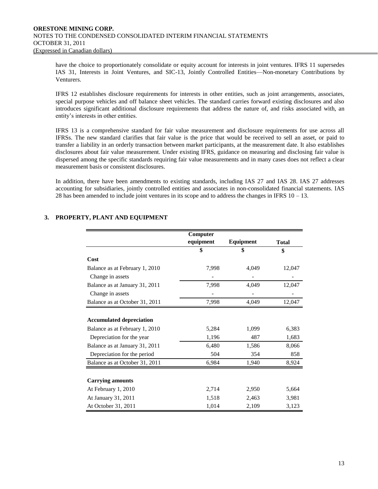have the choice to proportionately consolidate or equity account for interests in joint ventures. IFRS 11 supersedes IAS 31, Interests in Joint Ventures, and SIC-13, Jointly Controlled Entities—Non-monetary Contributions by Venturers.

IFRS 12 establishes disclosure requirements for interests in other entities, such as joint arrangements, associates, special purpose vehicles and off balance sheet vehicles. The standard carries forward existing disclosures and also introduces significant additional disclosure requirements that address the nature of, and risks associated with, an entity's interests in other entities.

IFRS 13 is a comprehensive standard for fair value measurement and disclosure requirements for use across all IFRSs. The new standard clarifies that fair value is the price that would be received to sell an asset, or paid to transfer a liability in an orderly transaction between market participants, at the measurement date. It also establishes disclosures about fair value measurement. Under existing IFRS, guidance on measuring and disclosing fair value is dispersed among the specific standards requiring fair value measurements and in many cases does not reflect a clear measurement basis or consistent disclosures.

In addition, there have been amendments to existing standards, including IAS 27 and IAS 28. IAS 27 addresses accounting for subsidiaries, jointly controlled entities and associates in non-consolidated financial statements. IAS 28 has been amended to include joint ventures in its scope and to address the changes in IFRS  $10 - 13$ .

|                                 | Computer  |           |              |
|---------------------------------|-----------|-----------|--------------|
|                                 | equipment | Equipment | <b>Total</b> |
|                                 | \$        | \$        | \$           |
| Cost                            |           |           |              |
| Balance as at February 1, 2010  | 7,998     | 4,049     | 12,047       |
| Change in assets                |           |           |              |
| Balance as at January 31, 2011  | 7,998     | 4,049     | 12,047       |
| Change in assets                |           |           |              |
| Balance as at October 31, 2011  | 7,998     | 4,049     | 12,047       |
|                                 |           |           |              |
| <b>Accumulated depreciation</b> |           |           |              |
| Balance as at February 1, 2010  | 5,284     | 1,099     | 6,383        |
| Depreciation for the year       | 1,196     | 487       | 1,683        |
| Balance as at January 31, 2011  | 6,480     | 1,586     | 8,066        |
| Depreciation for the period     | 504       | 354       | 858          |
| Balance as at October 31, 2011  | 6,984     | 1,940     | 8,924        |
|                                 |           |           |              |
| <b>Carrying amounts</b>         |           |           |              |
| At February 1, 2010             | 2,714     | 2,950     | 5,664        |
| At January 31, 2011             | 1,518     | 2,463     | 3,981        |
| At October 31, 2011             | 1,014     | 2,109     | 3,123        |

# **3. PROPERTY, PLANT AND EQUIPMENT**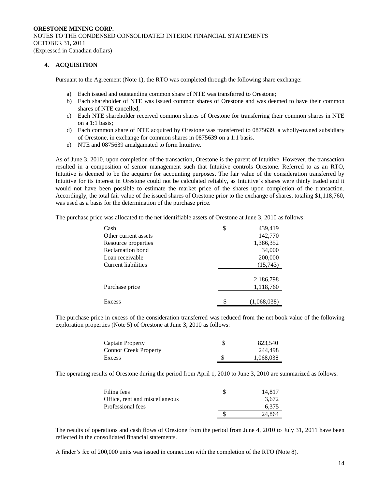# **4. ACQUISITION**

Pursuant to the Agreement (Note 1), the RTO was completed through the following share exchange:

- a) Each issued and outstanding common share of NTE was transferred to Orestone;
- b) Each shareholder of NTE was issued common shares of Orestone and was deemed to have their common shares of NTE cancelled;
- c) Each NTE shareholder received common shares of Orestone for transferring their common shares in NTE on a 1:1 basis;
- d) Each common share of NTE acquired by Orestone was transferred to 0875639, a wholly-owned subsidiary of Orestone, in exchange for common shares in 0875639 on a 1:1 basis.
- e) NTE and 0875639 amalgamated to form Intuitive.

As of June 3, 2010, upon completion of the transaction, Orestone is the parent of Intuitive. However, the transaction resulted in a composition of senior management such that Intuitive controls Orestone. Referred to as an RTO, Intuitive is deemed to be the acquirer for accounting purposes. The fair value of the consideration transferred by Intuitive for its interest in Orestone could not be calculated reliably, as Intuitive's shares were thinly traded and it would not have been possible to estimate the market price of the shares upon completion of the transaction. Accordingly, the total fair value of the issued shares of Orestone prior to the exchange of shares, totaling \$1,118,760, was used as a basis for the determination of the purchase price.

The purchase price was allocated to the net identifiable assets of Orestone at June 3, 2010 as follows:

| Cash                 | \$<br>439,419     |
|----------------------|-------------------|
| Other current assets | 142,770           |
| Resource properties  | 1,386,352         |
| Reclamation bond     | 34,000            |
| Loan receivable      | 200,000           |
| Current liabilities  | (15,743)          |
|                      |                   |
|                      | 2,186,798         |
| Purchase price       | 1,118,760         |
|                      |                   |
| Excess               | \$<br>(1,068,038) |

The purchase price in excess of the consideration transferred was reduced from the net book value of the following exploration properties (Note 5) of Orestone at June 3, 2010 as follows:

| Captain Property             | 823,540   |
|------------------------------|-----------|
| <b>Connor Creek Property</b> | 244.498   |
| Excess                       | 1,068,038 |

The operating results of Orestone during the period from April 1, 2010 to June 3, 2010 are summarized as follows:

| Filing fees                    | 14.817 |
|--------------------------------|--------|
| Office, rent and miscellaneous | 3.672  |
| Professional fees              | 6.375  |
|                                | 24.864 |

The results of operations and cash flows of Orestone from the period from June 4, 2010 to July 31, 2011 have been reflected in the consolidated financial statements.

A finder's fee of 200,000 units was issued in connection with the completion of the RTO (Note 8).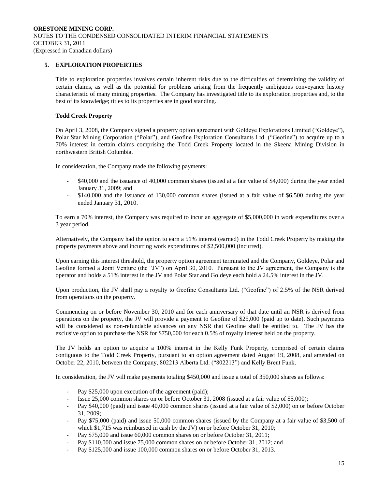# **5. EXPLORATION PROPERTIES**

Title to exploration properties involves certain inherent risks due to the difficulties of determining the validity of certain claims, as well as the potential for problems arising from the frequently ambiguous conveyance history characteristic of many mining properties. The Company has investigated title to its exploration properties and, to the best of its knowledge; titles to its properties are in good standing.

# **Todd Creek Property**

On April 3, 2008, the Company signed a property option agreement with Goldeye Explorations Limited ("Goldeye"), Polar Star Mining Corporation ("Polar"), and Geofine Exploration Consultants Ltd. ("Geofine") to acquire up to a 70% interest in certain claims comprising the Todd Creek Property located in the Skeena Mining Division in northwestern British Columbia.

In consideration, the Company made the following payments:

- \$40,000 and the issuance of 40,000 common shares (issued at a fair value of \$4,000) during the year ended January 31, 2009; and
- \$140,000 and the issuance of 130,000 common shares (issued at a fair value of \$6,500 during the year ended January 31, 2010.

To earn a 70% interest, the Company was required to incur an aggregate of \$5,000,000 in work expenditures over a 3 year period.

Alternatively, the Company had the option to earn a 51% interest (earned) in the Todd Creek Property by making the property payments above and incurring work expenditures of \$2,500,000 (incurred).

Upon earning this interest threshold, the property option agreement terminated and the Company, Goldeye, Polar and Geofine formed a Joint Venture (the "JV") on April 30, 2010. Pursuant to the JV agreement, the Company is the operator and holds a 51% interest in the JV and Polar Star and Goldeye each hold a 24.5% interest in the JV.

Upon production, the JV shall pay a royalty to Geofine Consultants Ltd. ("Geofine") of 2.5% of the NSR derived from operations on the property.

Commencing on or before November 30, 2010 and for each anniversary of that date until an NSR is derived from operations on the property, the JV will provide a payment to Geofine of \$25,000 (paid up to date). Such payments will be considered as non-refundable advances on any NSR that Geofine shall be entitled to. The JV has the exclusive option to purchase the NSR for \$750,000 for each 0.5% of royalty interest held on the property.

The JV holds an option to acquire a 100% interest in the Kelly Funk Property, comprised of certain claims contiguous to the Todd Creek Property, pursuant to an option agreement dated August 19, 2008, and amended on October 22, 2010, between the Company, 802213 Alberta Ltd. ("802213") and Kelly Brent Funk.

In consideration, the JV will make payments totaling \$450,000 and issue a total of 350,000 shares as follows:

- Pay \$25,000 upon execution of the agreement (paid);
- Issue 25,000 common shares on or before October 31, 2008 (issued at a fair value of \$5,000);
- Pay \$40,000 (paid) and issue 40,000 common shares (issued at a fair value of \$2,000) on or before October 31, 2009;
- Pay \$75,000 (paid) and issue 50,000 common shares (issued by the Company at a fair value of \$3,500 of which \$1,715 was reimbursed in cash by the JV) on or before October 31, 2010;
- Pay \$75,000 and issue 60,000 common shares on or before October 31, 2011;
- Pay \$110,000 and issue 75,000 common shares on or before October 31, 2012; and
- Pay \$125,000 and issue 100,000 common shares on or before October 31, 2013.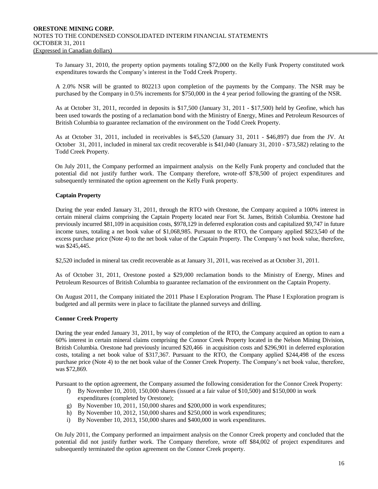To January 31, 2010, the property option payments totaling \$72,000 on the Kelly Funk Property constituted work expenditures towards the Company's interest in the Todd Creek Property.

A 2.0% NSR will be granted to 802213 upon completion of the payments by the Company. The NSR may be purchased by the Company in 0.5% increments for \$750,000 in the 4 year period following the granting of the NSR.

As at October 31, 2011, recorded in deposits is \$17,500 (January 31, 2011 - \$17,500) held by Geofine, which has been used towards the posting of a reclamation bond with the Ministry of Energy, Mines and Petroleum Resources of British Columbia to guarantee reclamation of the environment on the Todd Creek Property.

As at October 31, 2011, included in receivables is \$45,520 (January 31, 2011 - \$46,897) due from the JV. At October 31, 2011, included in mineral tax credit recoverable is \$41,040 (January 31, 2010 - \$73,582) relating to the Todd Creek Property.

On July 2011, the Company performed an impairment analysis on the Kelly Funk property and concluded that the potential did not justify further work. The Company therefore, wrote-off \$78,500 of project expenditures and subsequently terminated the option agreement on the Kelly Funk property.

# **Captain Property**

During the year ended January 31, 2011, through the RTO with Orestone, the Company acquired a 100% interest in certain mineral claims comprising the Captain Property located near Fort St. James, British Columbia. Orestone had previously incurred \$81,109 in acquisition costs, \$978,129 in deferred exploration costs and capitalized \$9,747 in future income taxes, totaling a net book value of \$1,068,985. Pursuant to the RTO, the Company applied \$823,540 of the excess purchase price (Note 4) to the net book value of the Captain Property. The Company's net book value, therefore, was \$245,445.

\$2,520 included in mineral tax credit recoverable as at January 31, 2011, was received as at October 31, 2011.

As of October 31, 2011, Orestone posted a \$29,000 reclamation bonds to the Ministry of Energy, Mines and Petroleum Resources of British Columbia to guarantee reclamation of the environment on the Captain Property.

On August 2011, the Company initiated the 2011 Phase I Exploration Program. The Phase I Exploration program is budgeted and all permits were in place to facilitate the planned surveys and drilling.

#### **Connor Creek Property**

During the year ended January 31, 2011, by way of completion of the RTO, the Company acquired an option to earn a 60% interest in certain mineral claims comprising the Connor Creek Property located in the Nelson Mining Division, British Columbia. Orestone had previously incurred \$20,466 in acquisition costs and \$296,901 in deferred exploration costs, totaling a net book value of \$317,367. Pursuant to the RTO, the Company applied \$244,498 of the excess purchase price (Note 4) to the net book value of the Conner Creek Property. The Company's net book value, therefore, was \$72,869.

Pursuant to the option agreement, the Company assumed the following consideration for the Connor Creek Property:

- f) By November 10, 2010, 150,000 shares (issued at a fair value of \$10,500) and \$150,000 in work expenditures (completed by Orestone);
- g) By November 10, 2011, 150,000 shares and \$200,000 in work expenditures;
- h) By November 10, 2012, 150,000 shares and \$250,000 in work expenditures;
- i) By November 10, 2013, 150,000 shares and \$400,000 in work expenditures.

On July 2011, the Company performed an impairment analysis on the Connor Creek property and concluded that the potential did not justify further work. The Company therefore, wrote off \$84,002 of project expenditures and subsequently terminated the option agreement on the Connor Creek property.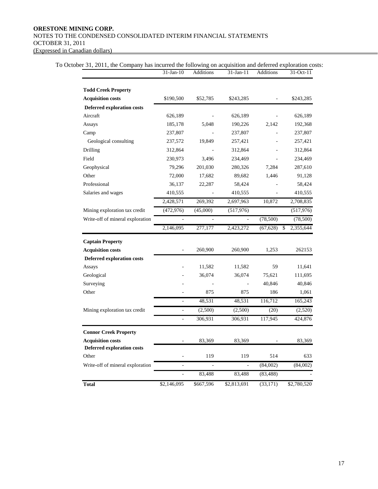# **ORESTONE MINING CORP.** NOTES TO THE CONDENSED CONSOLIDATED INTERIM FINANCIAL STATEMENTS OCTOBER 31, 2011 (Expressed in Canadian dollars)

|                                   | 31-Jan-10                | Additions | 31-Jan-11     | Additions | 31-Oct-11       |
|-----------------------------------|--------------------------|-----------|---------------|-----------|-----------------|
| <b>Todd Creek Property</b>        |                          |           |               |           |                 |
| <b>Acquisition costs</b>          | \$190,500                | \$52,785  | \$243,285     |           | \$243,285       |
| <b>Deferred exploration costs</b> |                          |           |               |           |                 |
| Aircraft                          | 626,189                  |           | 626,189       |           | 626,189         |
| Assays                            | 185,178                  | 5,048     | 190,226       | 2,142     | 192,368         |
| Camp                              | 237,807                  |           | 237,807       |           | 237,807         |
| Geological consulting             | 237,572                  | 19,849    | 257,421       |           | 257,421         |
| Drilling                          | 312,864                  |           | 312,864       |           | 312,864         |
| Field                             | 230,973                  | 3,496     | 234,469       |           | 234,469         |
| Geophysical                       | 79,296                   | 201,030   | 280,326       | 7,284     | 287,610         |
| Other                             | 72,000                   | 17,682    | 89,682        | 1,446     | 91,128          |
| Professional                      | 36,137                   | 22,287    | 58,424        |           | 58,424          |
| Salaries and wages                | 410,555                  |           | 410,555       |           | 410,555         |
|                                   | 2,428,571                | 269,392   | 2,697,963     | 10,872    | 2,708,835       |
| Mining exploration tax credit     | (472, 976)               | (45,000)  | (517, 976)    |           | (517, 976)      |
| Write-off of mineral exploration  |                          |           |               | (78,500)  | (78,500)        |
|                                   | 2,146,095                | 277,177   | 2,423,272     | (67, 628) | \$<br>2,355,644 |
| <b>Captain Property</b>           |                          |           |               |           |                 |
| <b>Acquisition costs</b>          | $\overline{a}$           | 260,900   | 260,900       | 1,253     | 262153          |
| Deferred exploration costs        |                          |           |               |           |                 |
| Assays                            |                          | 11,582    | 11,582        | 59        | 11,641          |
| Geological                        |                          | 36,074    | 36,074        | 75,621    | 111,695         |
| Surveying                         |                          |           | L,            | 40,846    | 40,846          |
| Other                             |                          | 875       | 875           | 186       | 1,061           |
|                                   | L,                       | 48,531    | 48,531        | 116,712   | 165,243         |
| Mining exploration tax credit     | $\overline{a}$           | (2,500)   | (2,500)       | (20)      | (2,520)         |
|                                   | $\overline{a}$           | 306,931   | 306,931       | 117,945   | 424,876         |
| <b>Connor Creek Property</b>      |                          |           |               |           |                 |
| <b>Acquisition costs</b>          |                          | 83,369    | 83,369        |           | 83,369          |
| <b>Deferred exploration costs</b> |                          |           |               |           |                 |
| Other                             |                          | 119       | 119           | 514       | 633             |
| Write-off of mineral exploration  | $\overline{\phantom{0}}$ |           | $\frac{1}{2}$ | (84,002)  | (84,002)        |
|                                   | $\overline{a}$           | 83,488    | 83,488        | (83, 488) |                 |
| <b>Total</b>                      | \$2,146,095              | \$667,596 | \$2,813,691   | (33, 171) | \$2,780,520     |

To October 31, 2011, the Company has incurred the following on acquisition and deferred exploration costs: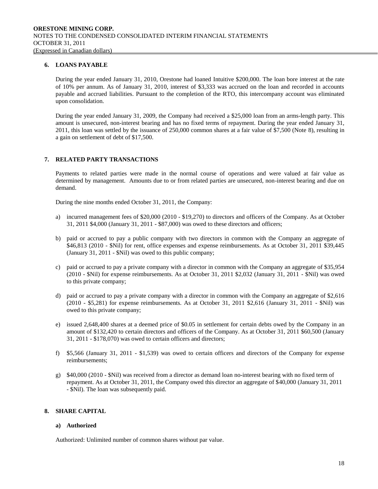# **6. LOANS PAYABLE**

During the year ended January 31, 2010, Orestone had loaned Intuitive \$200,000. The loan bore interest at the rate of 10% per annum. As of January 31, 2010, interest of \$3,333 was accrued on the loan and recorded in accounts payable and accrued liabilities. Pursuant to the completion of the RTO, this intercompany account was eliminated upon consolidation.

During the year ended January 31, 2009, the Company had received a \$25,000 loan from an arms-length party. This amount is unsecured, non-interest bearing and has no fixed terms of repayment. During the year ended January 31, 2011, this loan was settled by the issuance of 250,000 common shares at a fair value of \$7,500 (Note 8), resulting in a gain on settlement of debt of \$17,500.

# **7. RELATED PARTY TRANSACTIONS**

Payments to related parties were made in the normal course of operations and were valued at fair value as determined by management. Amounts due to or from related parties are unsecured, non-interest bearing and due on demand.

During the nine months ended October 31, 2011, the Company:

- a) incurred management fees of \$20,000 (2010 \$19,270) to directors and officers of the Company. As at October 31, 2011 \$4,000 (January 31, 2011 - \$87,000) was owed to these directors and officers;
- b) paid or accrued to pay a public company with two directors in common with the Company an aggregate of \$46,813 (2010 - \$Nil) for rent, office expenses and expense reimbursements. As at October 31, 2011 \$39,445 (January 31, 2011 - \$Nil) was owed to this public company;
- c) paid or accrued to pay a private company with a director in common with the Company an aggregate of \$35,954 (2010 - \$Nil) for expense reimbursements. As at October 31, 2011 \$2,032 (January 31, 2011 - \$Nil) was owed to this private company;
- d) paid or accrued to pay a private company with a director in common with the Company an aggregate of \$2,616 (2010 - \$5,281) for expense reimbursements. As at October 31, 2011 \$2,616 (January 31, 2011 - \$Nil) was owed to this private company;
- e) issued 2,648,400 shares at a deemed price of \$0.05 in settlement for certain debts owed by the Company in an amount of \$132,420 to certain directors and officers of the Company. As at October 31, 2011 \$60,500 (January 31, 2011 - \$178,070) was owed to certain officers and directors;
- f) \$5,566 (January 31, 2011 \$1,539) was owed to certain officers and directors of the Company for expense reimbursements;
- g) \$40,000 (2010 \$Nil) was received from a director as demand loan no-interest bearing with no fixed term of repayment. As at October 31, 2011, the Company owed this director an aggregate of \$40,000 (January 31, 2011 - \$Nil). The loan was subsequently paid.

# **8. SHARE CAPITAL**

# **a) Authorized**

Authorized: Unlimited number of common shares without par value.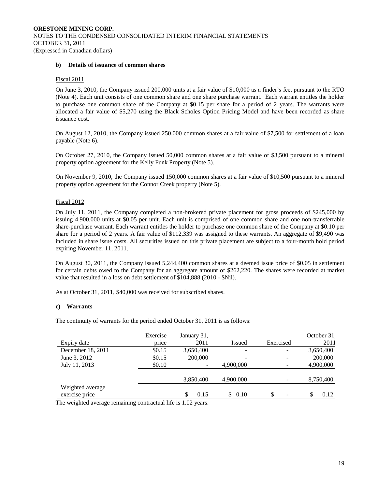#### **b) Details of issuance of common shares**

#### Fiscal 2011

On June 3, 2010, the Company issued 200,000 units at a fair value of \$10,000 as a finder's fee, pursuant to the RTO (Note 4). Each unit consists of one common share and one share purchase warrant. Each warrant entitles the holder to purchase one common share of the Company at \$0.15 per share for a period of 2 years. The warrants were allocated a fair value of \$5,270 using the Black Scholes Option Pricing Model and have been recorded as share issuance cost.

On August 12, 2010, the Company issued 250,000 common shares at a fair value of \$7,500 for settlement of a loan payable (Note 6).

On October 27, 2010, the Company issued 50,000 common shares at a fair value of \$3,500 pursuant to a mineral property option agreement for the Kelly Funk Property (Note 5).

On November 9, 2010, the Company issued 150,000 common shares at a fair value of \$10,500 pursuant to a mineral property option agreement for the Connor Creek property (Note 5).

# Fiscal 2012

On July 11, 2011, the Company completed a non-brokered private placement for gross proceeds of \$245,000 by issuing 4,900,000 units at \$0.05 per unit. Each unit is comprised of one common share and one non-transferrable share-purchase warrant. Each warrant entitles the holder to purchase one common share of the Company at \$0.10 per share for a period of 2 years. A fair value of \$112,339 was assigned to these warrants. An aggregate of \$9,490 was included in share issue costs. All securities issued on this private placement are subject to a four-month hold period expiring November 11, 2011.

On August 30, 2011, the Company issued 5,244,400 common shares at a deemed issue price of \$0.05 in settlement for certain debts owed to the Company for an aggregate amount of \$262,220. The shares were recorded at market value that resulted in a loss on debt settlement of \$104,888 (2010 - \$Nil).

As at October 31, 2011, \$40,000 was received for subscribed shares.

#### **c) Warrants**

The continuity of warrants for the period ended October 31, 2011 is as follows:

|                                    | Exercise | January 31, |                          |                               | October 31, |  |
|------------------------------------|----------|-------------|--------------------------|-------------------------------|-------------|--|
| Expiry date                        | price    | 2011        | Issued                   | Exercised                     | 2011        |  |
| December 18, 2011                  | \$0.15   | 3,650,400   | $\overline{\phantom{a}}$ | ۰                             | 3,650,400   |  |
| June 3, 2012                       | \$0.15   | 200,000     | -                        | -                             | 200,000     |  |
| July 11, 2013                      | \$0.10   |             | 4,900,000<br>-           |                               | 4,900,000   |  |
|                                    |          | 3,850,400   | 4,900,000                | -                             | 8,750,400   |  |
| Weighted average<br>exercise price |          | \$<br>0.15  | \$0.10                   | S<br>$\overline{\phantom{a}}$ | \$.<br>0.12 |  |

The weighted average remaining contractual life is 1.02 years.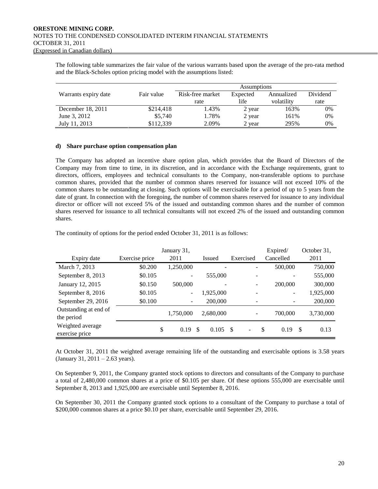The following table summarizes the fair value of the various warrants based upon the average of the pro-rata method and the Black-Scholes option pricing model with the assumptions listed:

|                                    |           | <b>Assumptions</b> |          |            |          |  |  |  |
|------------------------------------|-----------|--------------------|----------|------------|----------|--|--|--|
| Fair value<br>Warrants expiry date |           | Risk-free market   | Expected | Annualized | Dividend |  |  |  |
|                                    |           | rate               | life     | volatility | rate     |  |  |  |
| December 18, 2011                  | \$214,418 | 1.43%              | 2 year   | 163%       | 0%       |  |  |  |
| June 3, 2012                       | \$5,740   | l.78%              | 2 year   | 161%       | 0%       |  |  |  |
| July 11, 2013                      | \$112,339 | 2.09%              | 2 year   | 295%       | $0\%$    |  |  |  |

#### **d) Share purchase option compensation plan**

The Company has adopted an incentive share option plan, which provides that the Board of Directors of the Company may from time to time, in its discretion, and in accordance with the Exchange requirements, grant to directors, officers, employees and technical consultants to the Company, non-transferable options to purchase common shares, provided that the number of common shares reserved for issuance will not exceed 10% of the common shares to be outstanding at closing. Such options will be exercisable for a period of up to 5 years from the date of grant. In connection with the foregoing, the number of common shares reserved for issuance to any individual director or officer will not exceed 5% of the issued and outstanding common shares and the number of common shares reserved for issuance to all technical consultants will not exceed 2% of the issued and outstanding common shares.

The continuity of options for the period ended October 31, 2011 is as follows:

|                       | January 31,    | Expired/  | October 31,   |           |           |           |
|-----------------------|----------------|-----------|---------------|-----------|-----------|-----------|
| Expiry date           | Exercise price | 2011      | <b>Issued</b> | Exercised | Cancelled | 2011      |
| March 7, 2013         | \$0.200        | 1,250,000 |               |           | 500,000   | 750,000   |
| September 8, 2013     | \$0.105        |           | 555,000       |           |           | 555,000   |
| January 12, 2015      | \$0.150        | 500,000   |               | ۰         | 200,000   | 300,000   |
| September 8, 2016     | \$0.105        | -         | 1,925,000     |           | -         | 1,925,000 |
| September 29, 2016    | \$0.100        |           | 200,000       |           |           | 200,000   |
| Outstanding at end of |                | 1,750,000 | 2,680,000     |           | 700,000   | 3,730,000 |
| the period            |                |           |               |           |           |           |
| Weighted average      | \$             | 0.19      | \$<br>0.105   | - \$<br>٠ | S<br>0.19 | 0.13<br>S |
| exercise price        |                |           |               |           |           |           |

At October 31, 2011 the weighted average remaining life of the outstanding and exercisable options is 3.58 years (January 31, 2011 – 2.63 years).

On September 9, 2011, the Company granted stock options to directors and consultants of the Company to purchase a total of 2,480,000 common shares at a price of \$0.105 per share. Of these options 555,000 are exercisable until September 8, 2013 and 1,925,000 are exercisable until September 8, 2016.

On September 30, 2011 the Company granted stock options to a consultant of the Company to purchase a total of \$200,000 common shares at a price \$0.10 per share, exercisable until September 29, 2016.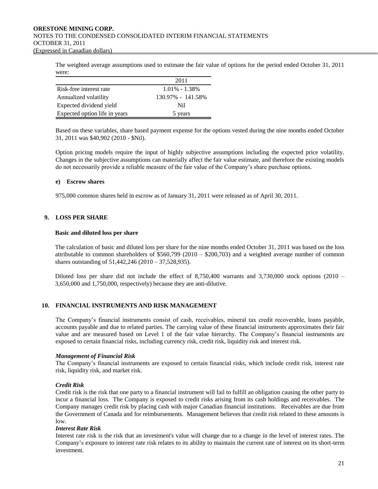The weighted average assumptions used to estimate the fair value of options for the period ended October 31, 2011 were:

|                               | 2011              |
|-------------------------------|-------------------|
| Risk-free interest rate       | $1.01\% - 1.38\%$ |
| Annualized volatility         | 130.97% - 141.58% |
| Expected dividend yield       | Nil.              |
| Expected option life in years | 5 years           |

Based on these variables, share based payment expense for the options vested during the nine months ended October 31, 2011 was \$40,902 (2010 - \$Nil).

Option pricing models require the input of highly subjective assumptions including the expected price volatility. Changes in the subjective assumptions can materially affect the fair value estimate, and therefore the existing models do not necessarily provide a reliable measure of the fair value of the Company's share purchase options.

# **e) Escrow shares**

975,000 common shares held in escrow as of January 31, 2011 were released as of April 30, 2011.

# **9. LOSS PER SHARE**

#### **Basic and diluted loss per share**

The calculation of basic and diluted loss per share for the nine months ended October 31, 2011 was based on the loss attributable to common shareholders of  $$560,799$  (2010 –  $$200,703$ ) and a weighted average number of common shares outstanding of 51,442,246 (2010 – 37,528,935).

Diluted loss per share did not include the effect of 8,750,400 warrants and 3,730,000 stock options (2010 – 3,650,000 and 1,750,000, respectively) because they are anti-dilutive.

# **10. FINANCIAL INSTRUMENTS AND RISK MANAGEMENT**

The Company's financial instruments consist of cash, receivables, mineral tax credit recoverable, loans payable, accounts payable and due to related parties. The carrying value of these financial instruments approximates their fair value and are measured based on Level 1 of the fair value hierarchy. The Company's financial instruments are exposed to certain financial risks, including currency risk, credit risk, liquidity risk and interest risk.

#### *Management of Financial Risk*

The Company's financial instruments are exposed to certain financial risks, which include credit risk, interest rate risk, liquidity risk, and market risk.

#### *Credit Risk*

Credit risk is the risk that one party to a financial instrument will fail to fulfill an obligation causing the other party to incur a financial loss. The Company is exposed to credit risks arising from its cash holdings and receivables. The Company manages credit risk by placing cash with major Canadian financial institutions. Receivables are due from the Government of Canada and for reimbursements. Management believes that credit risk related to these amounts is low.

#### *Interest Rate Risk*

Interest rate risk is the risk that an investment's value will change due to a change in the level of interest rates. The Company's exposure to interest rate risk relates to its ability to maintain the current rate of interest on its short-term investment.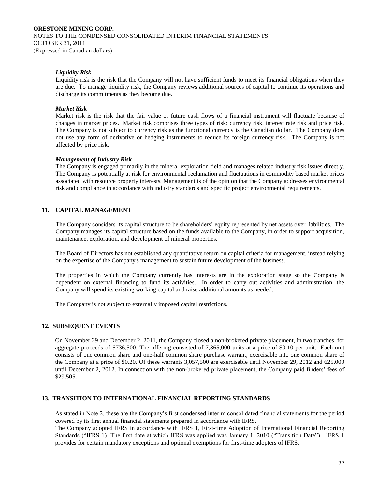# *Liquidity Risk*

Liquidity risk is the risk that the Company will not have sufficient funds to meet its financial obligations when they are due. To manage liquidity risk, the Company reviews additional sources of capital to continue its operations and discharge its commitments as they become due.

# *Market Risk*

Market risk is the risk that the fair value or future cash flows of a financial instrument will fluctuate because of changes in market prices. Market risk comprises three types of risk: currency risk, interest rate risk and price risk. The Company is not subject to currency risk as the functional currency is the Canadian dollar. The Company does not use any form of derivative or hedging instruments to reduce its foreign currency risk. The Company is not affected by price risk.

#### *Management of Industry Risk*

The Company is engaged primarily in the mineral exploration field and manages related industry risk issues directly. The Company is potentially at risk for environmental reclamation and fluctuations in commodity based market prices associated with resource property interests. Management is of the opinion that the Company addresses environmental risk and compliance in accordance with industry standards and specific project environmental requirements.

# **11. CAPITAL MANAGEMENT**

The Company considers its capital structure to be shareholders' equity represented by net assets over liabilities. The Company manages its capital structure based on the funds available to the Company, in order to support acquisition, maintenance, exploration, and development of mineral properties.

The Board of Directors has not established any quantitative return on capital criteria for management, instead relying on the expertise of the Company's management to sustain future development of the business.

The properties in which the Company currently has interests are in the exploration stage so the Company is dependent on external financing to fund its activities. In order to carry out activities and administration, the Company will spend its existing working capital and raise additional amounts as needed.

The Company is not subject to externally imposed capital restrictions.

# **12. SUBSEQUENT EVENTS**

On November 29 and December 2, 2011, the Company closed a non-brokered private placement, in two tranches, for aggregate proceeds of \$736,500. The offering consisted of 7,365,000 units at a price of \$0.10 per unit. Each unit consists of one common share and one-half common share purchase warrant, exercisable into one common share of the Company at a price of \$0.20. Of these warrants 3,057,500 are exercisable until November 29, 2012 and 625,000 until December 2, 2012. In connection with the non-brokered private placement, the Company paid finders' fees of \$29,505.

#### **13. TRANSITION TO INTERNATIONAL FINANCIAL REPORTING STANDARDS**

As stated in Note 2, these are the Company's first condensed interim consolidated financial statements for the period covered by its first annual financial statements prepared in accordance with IFRS.

The Company adopted IFRS in accordance with IFRS 1, First-time Adoption of International Financial Reporting Standards ("IFRS 1). The first date at which IFRS was applied was January 1, 2010 ("Transition Date"). IFRS 1 provides for certain mandatory exceptions and optional exemptions for first-time adopters of IFRS.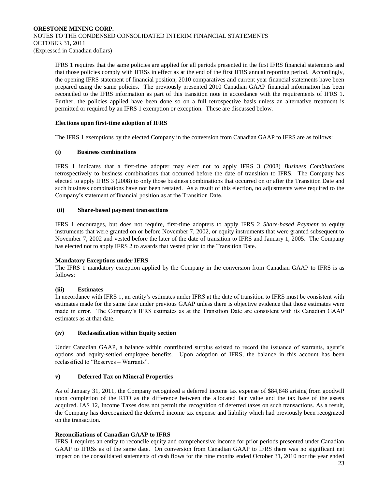IFRS 1 requires that the same policies are applied for all periods presented in the first IFRS financial statements and that those policies comply with IFRSs in effect as at the end of the first IFRS annual reporting period. Accordingly, the opening IFRS statement of financial position, 2010 comparatives and current year financial statements have been prepared using the same policies. The previously presented 2010 Canadian GAAP financial information has been reconciled to the IFRS information as part of this transition note in accordance with the requirements of IFRS 1. Further, the policies applied have been done so on a full retrospective basis unless an alternative treatment is permitted or required by an IFRS 1 exemption or exception. These are discussed below.

# **Elections upon first-time adoption of IFRS**

The IFRS 1 exemptions by the elected Company in the conversion from Canadian GAAP to IFRS are as follows:

# **(i) Business combinations**

IFRS 1 indicates that a first-time adopter may elect not to apply IFRS 3 (2008) *Business Combinations* retrospectively to business combinations that occurred before the date of transition to IFRS. The Company has elected to apply IFRS 3 (2008) to only those business combinations that occurred on or after the Transition Date and such business combinations have not been restated. As a result of this election, no adjustments were required to the Company's statement of financial position as at the Transition Date.

# **(ii) Share-based payment transactions**

IFRS 1 encourages, but does not require, first-time adopters to apply IFRS 2 *Share-based Payment* to equity instruments that were granted on or before November 7, 2002, or equity instruments that were granted subsequent to November 7, 2002 and vested before the later of the date of transition to IFRS and January 1, 2005. The Company has elected not to apply IFRS 2 to awards that vested prior to the Transition Date.

#### **Mandatory Exceptions under IFRS**

The IFRS 1 mandatory exception applied by the Company in the conversion from Canadian GAAP to IFRS is as follows:

# **(iii) Estimates**

In accordance with IFRS 1, an entity's estimates under IFRS at the date of transition to IFRS must be consistent with estimates made for the same date under previous GAAP unless there is objective evidence that those estimates were made in error. The Company's IFRS estimates as at the Transition Date are consistent with its Canadian GAAP estimates as at that date.

#### **(iv) Reclassification within Equity section**

Under Canadian GAAP, a balance within contributed surplus existed to record the issuance of warrants, agent's options and equity-settled employee benefits. Upon adoption of IFRS, the balance in this account has been reclassified to "Reserves – Warrants".

# **v) Deferred Tax on Mineral Properties**

As of January 31, 2011, the Company recognized a deferred income tax expense of \$84,848 arising from goodwill upon completion of the RTO as the difference between the allocated fair value and the tax base of the assets acquired. IAS 12, Income Taxes does not permit the recognition of deferred taxes on such transactions. As a result, the Company has derecognized the deferred income tax expense and liability which had previously been recognized on the transaction.

# **Reconciliations of Canadian GAAP to IFRS**

IFRS 1 requires an entity to reconcile equity and comprehensive income for prior periods presented under Canadian GAAP to IFRSs as of the same date. On conversion from Canadian GAAP to IFRS there was no significant net impact on the consolidated statements of cash flows for the nine months ended October 31, 2010 nor the year ended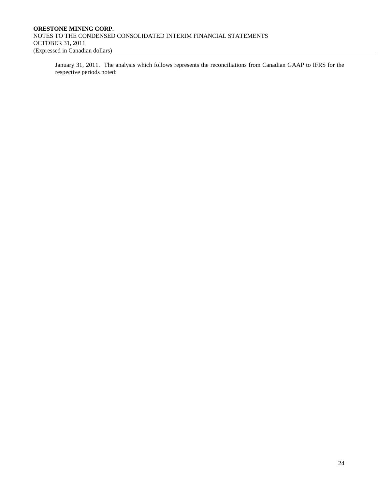January 31, 2011. The analysis which follows represents the reconciliations from Canadian GAAP to IFRS for the respective periods noted: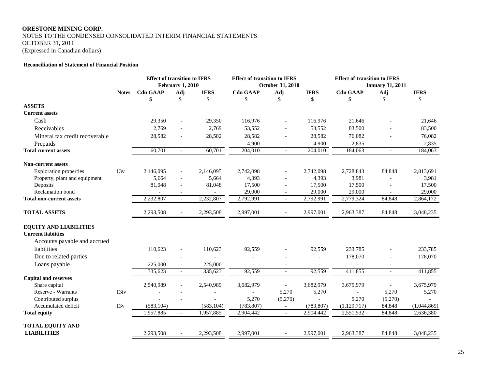# **ORESTONE MINING CORP.** NOTES TO THE CONDENSED CONSOLIDATED INTERIM FINANCIAL STATEMENTS OCTOBER 31, 2011 (Expressed in Canadian dollars)

#### **Reconciliation of Statement of Financial Position**

|                                 |              | <b>Effect of transition to IFRS</b> | <b>February 1, 2010</b>  |             | <b>Effect of transition to IFRS</b> | <b>October 31, 2010</b>     |                | <b>Effect of transition to IFRS</b><br><b>January 31, 2011</b> |            |             |
|---------------------------------|--------------|-------------------------------------|--------------------------|-------------|-------------------------------------|-----------------------------|----------------|----------------------------------------------------------------|------------|-------------|
|                                 | <b>Notes</b> | <b>Cdn GAAP</b>                     | Adj                      | <b>IFRS</b> | <b>Cdn GAAP</b>                     | Adj                         | <b>IFRS</b>    | <b>Cdn GAAP</b>                                                | <b>Adj</b> | <b>IFRS</b> |
|                                 |              | \$                                  | \$                       | \$          | \$                                  | \$                          | \$             | \$                                                             | \$         | \$          |
| <b>ASSETS</b>                   |              |                                     |                          |             |                                     |                             |                |                                                                |            |             |
| <b>Current assets</b>           |              |                                     |                          |             |                                     |                             |                |                                                                |            |             |
| Cash                            |              | 29,350                              | $\overline{\phantom{a}}$ | 29,350      | 116,976                             | $\overline{\phantom{a}}$    | 116,976        | 21,646                                                         |            | 21,646      |
| Receivables                     |              | 2,769                               |                          | 2,769       | 53,552                              |                             | 53,552         | 83,500                                                         |            | 83,500      |
| Mineral tax credit recoverable  |              | 28,582                              | $\overline{\phantom{a}}$ | 28,582      | 28,582                              | $\overline{\phantom{a}}$    | 28,582         | 76,082                                                         |            | 76,082      |
| Prepaids                        |              |                                     |                          |             | 4,900                               | $\overline{\phantom{a}}$    | 4,900          | 2,835                                                          |            | 2,835       |
| <b>Total current assets</b>     |              | 60,701                              | $\overline{a}$           | 60,701      | 204,010                             | $\overline{\phantom{a}}$    | 204,010        | 184,063                                                        | $\equiv$   | 184,063     |
| <b>Non-current assets</b>       |              |                                     |                          |             |                                     |                             |                |                                                                |            |             |
| <b>Exploration properties</b>   | 13v          | 2,146,095                           | $\overline{\phantom{a}}$ | 2,146,095   | 2,742,098                           |                             | 2,742,098      | 2,728,843                                                      | 84,848     | 2,813,691   |
| Property, plant and equipment   |              | 5,664                               |                          | 5,664       | 4,393                               |                             | 4,393          | 3,981                                                          |            | 3,981       |
| Deposits                        |              | 81,048                              |                          | 81,048      | 17,500                              |                             | 17,500         | 17,500                                                         |            | 17,500      |
| <b>Reclamation</b> bond         |              |                                     |                          |             | 29,000                              |                             | 29,000         | 29,000                                                         |            | 29,000      |
| <b>Total non-current assets</b> |              | 2,232,807                           | $\mathcal{L}$            | 2,232,807   | 2,792,991                           | $\sim$                      | 2,792,991      | 2,779,324                                                      | 84,848     | 2,864,172   |
| <b>TOTAL ASSETS</b>             |              | 2,293,508                           | $\overline{\phantom{a}}$ | 2,293,508   | 2,997,001                           |                             | 2,997,001      | 2,963,387                                                      | 84,848     | 3,048,235   |
| <b>EQUITY AND LIABILITIES</b>   |              |                                     |                          |             |                                     |                             |                |                                                                |            |             |
| <b>Current liabiities</b>       |              |                                     |                          |             |                                     |                             |                |                                                                |            |             |
| Accounts payable and accrued    |              |                                     |                          |             |                                     |                             |                |                                                                |            |             |
| liabilities                     |              | 110,623                             |                          | 110,623     | 92,559                              |                             | 92,559         | 233,785                                                        |            | 233,785     |
| Due to related parties          |              |                                     |                          |             |                                     |                             |                | 178,070                                                        |            | 178,070     |
| Loans payable                   |              | 225,000                             | $\blacksquare$           | 225,000     |                                     |                             |                |                                                                |            |             |
|                                 |              | 335,623                             | $\overline{\phantom{a}}$ | 335,623     | 92,559                              | $\overline{\phantom{a}}$    | 92,559         | 411,855                                                        | $\equiv$   | 411,855     |
| <b>Capital and reserves</b>     |              |                                     |                          |             |                                     |                             |                |                                                                |            |             |
| Share capital                   |              | 2,540,989                           |                          | 2,540,989   | 3,682,979                           | $\overline{\phantom{a}}$    | 3,682,979      | 3,675,979                                                      | $\sim$     | 3,675,979   |
| <b>Reserve - Warrants</b>       | 13iv         |                                     |                          |             |                                     | 5,270                       | 5,270          |                                                                | 5,270      | 5,270       |
| Contributed surplus             |              |                                     |                          |             | 5,270                               | (5,270)                     | $\overline{a}$ | 5,270                                                          | (5,270)    |             |
| Accumulated deficit             | 13v          | (583, 104)                          |                          | (583, 104)  | (783, 807)                          | $\mathcal{L}^{\mathcal{A}}$ | (783, 807)     | (1,129,717)                                                    | 84,848     | (1,044,869) |
| <b>Total equity</b>             |              | 1,957,885                           | $\overline{\phantom{a}}$ | 1,957,885   | 2,904,442                           | $\overline{\phantom{a}}$    | 2,904,442      | 2,551,532                                                      | 84,848     | 2,636,380   |
| TOTAL EQUITY AND                |              |                                     |                          |             |                                     |                             |                |                                                                |            |             |
| <b>LIABILITIES</b>              |              | 2,293,508                           |                          | 2,293,508   | 2,997,001                           |                             | 2,997,001      | 2,963,387                                                      | 84,848     | 3,048,235   |

 $\overline{\phantom{0}}$